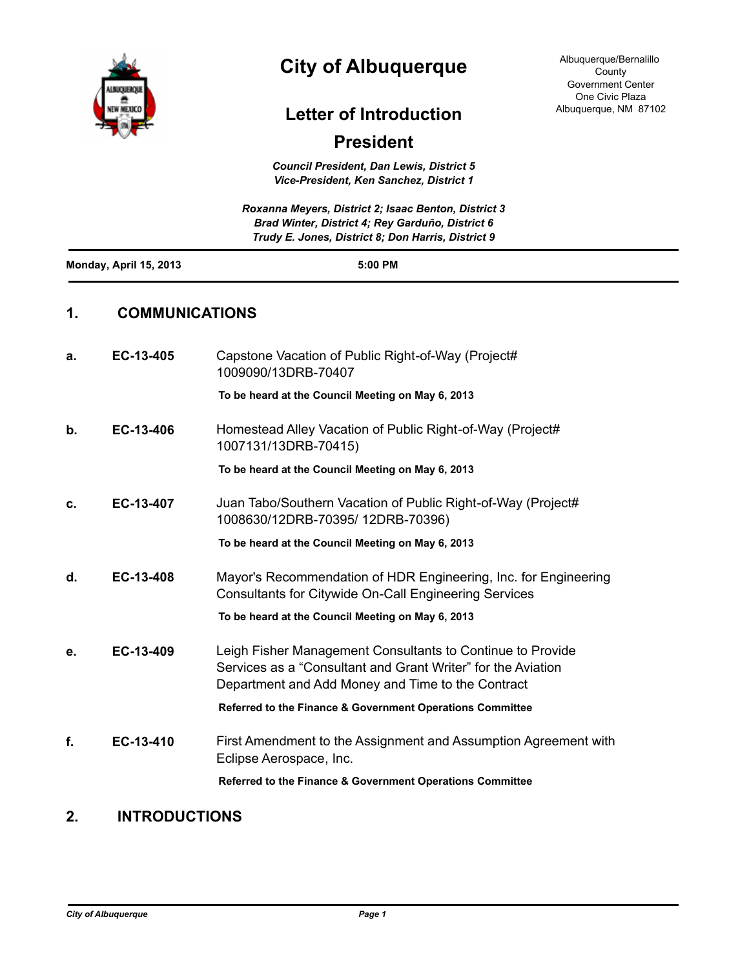

# **City of Albuquerque**

Albuquerque/Bernalillo County Government Center One Civic Plaza Albuquerque, NM 87102

## **Letter of Introduction**

## **President**

*Council President, Dan Lewis, District 5 Vice-President, Ken Sanchez, District 1*

|                        | Roxanna Meyers, District 2; Isaac Benton, District 3                                                   |  |
|------------------------|--------------------------------------------------------------------------------------------------------|--|
|                        | Brad Winter, District 4; Rey Garduño, District 6<br>Trudy E. Jones, District 8; Don Harris, District 9 |  |
| Monday, April 15, 2013 | $5:00$ PM                                                                                              |  |
|                        |                                                                                                        |  |

### **1. COMMUNICATIONS**

| a. | EC-13-405 | Capstone Vacation of Public Right-of-Way (Project#<br>1009090/13DRB-70407                                                                                                       |
|----|-----------|---------------------------------------------------------------------------------------------------------------------------------------------------------------------------------|
|    |           | To be heard at the Council Meeting on May 6, 2013                                                                                                                               |
| b. | EC-13-406 | Homestead Alley Vacation of Public Right-of-Way (Project#<br>1007131/13DRB-70415)                                                                                               |
|    |           | To be heard at the Council Meeting on May 6, 2013                                                                                                                               |
| c. | EC-13-407 | Juan Tabo/Southern Vacation of Public Right-of-Way (Project#<br>1008630/12DRB-70395/ 12DRB-70396)                                                                               |
|    |           | To be heard at the Council Meeting on May 6, 2013                                                                                                                               |
| d. | EC-13-408 | Mayor's Recommendation of HDR Engineering, Inc. for Engineering<br><b>Consultants for Citywide On-Call Engineering Services</b>                                                 |
|    |           | To be heard at the Council Meeting on May 6, 2013                                                                                                                               |
| е. | EC-13-409 | Leigh Fisher Management Consultants to Continue to Provide<br>Services as a "Consultant and Grant Writer" for the Aviation<br>Department and Add Money and Time to the Contract |
|    |           | Referred to the Finance & Government Operations Committee                                                                                                                       |
| f. | EC-13-410 | First Amendment to the Assignment and Assumption Agreement with<br>Eclipse Aerospace, Inc.                                                                                      |
|    |           | Referred to the Finance & Government Operations Committee                                                                                                                       |

### **2. INTRODUCTIONS**